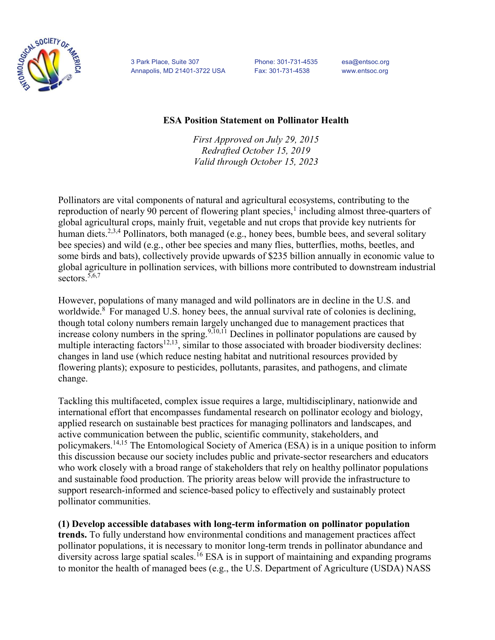

3 Park Place, Suite 307 Phone: 301-731-4535 esa@entsoc.org Annapolis, MD 21401-3722 USA Fax: 301-731-4538 www.entsoc.org

## ESA Position Statement on Pollinator Health

First Approved on July 29, 2015 Redrafted October 15, 2019 Valid through October 15, 2023

Pollinators are vital components of natural and agricultural ecosystems, contributing to the reproduction of nearly 90 percent of flowering plant species, $<sup>1</sup>$  including almost three-quarters of</sup> global agricultural crops, mainly fruit, vegetable and nut crops that provide key nutrients for human diets.<sup>2,3,4</sup> Pollinators, both managed (e.g., honey bees, bumble bees, and several solitary bee species) and wild (e.g., other bee species and many flies, butterflies, moths, beetles, and some birds and bats), collectively provide upwards of \$235 billion annually in economic value to global agriculture in pollination services, with billions more contributed to downstream industrial sectors.<sup>5,6,7</sup>

However, populations of many managed and wild pollinators are in decline in the U.S. and worldwide.<sup>8</sup> For managed U.S. honey bees, the annual survival rate of colonies is declining, though total colony numbers remain largely unchanged due to management practices that increase colony numbers in the spring.  $9,10,11$  Declines in pollinator populations are caused by multiple interacting factors<sup>12,13</sup>, similar to those associated with broader biodiversity declines: changes in land use (which reduce nesting habitat and nutritional resources provided by flowering plants); exposure to pesticides, pollutants, parasites, and pathogens, and climate change.

Tackling this multifaceted, complex issue requires a large, multidisciplinary, nationwide and international effort that encompasses fundamental research on pollinator ecology and biology, applied research on sustainable best practices for managing pollinators and landscapes, and active communication between the public, scientific community, stakeholders, and policymakers.14,15 The Entomological Society of America (ESA) is in a unique position to inform this discussion because our society includes public and private-sector researchers and educators who work closely with a broad range of stakeholders that rely on healthy pollinator populations and sustainable food production. The priority areas below will provide the infrastructure to support research-informed and science-based policy to effectively and sustainably protect pollinator communities.

## (1) Develop accessible databases with long-term information on pollinator population

trends. To fully understand how environmental conditions and management practices affect pollinator populations, it is necessary to monitor long-term trends in pollinator abundance and  $\frac{1}{2}$  diversity across large spatial scales.<sup>16</sup> ESA is in support of maintaining and expanding programs to monitor the health of managed bees (e.g., the U.S. Department of Agriculture (USDA) NASS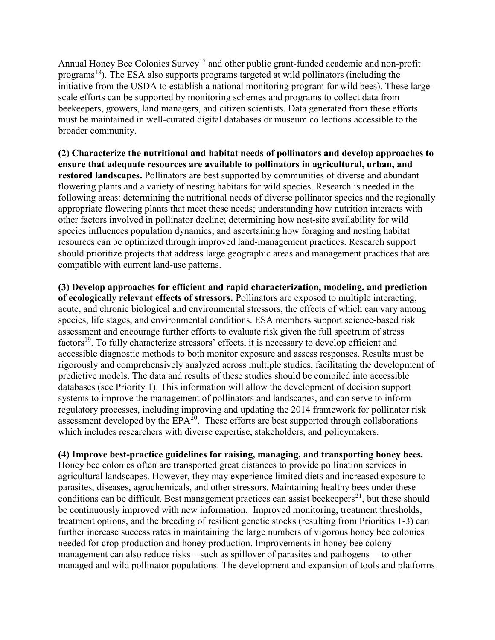Annual Honey Bee Colonies Survey<sup>17</sup> and other public grant-funded academic and non-profit programs<sup>18</sup>). The ESA also supports programs targeted at wild pollinators (including the initiative from the USDA to establish a national monitoring program for wild bees). These largescale efforts can be supported by monitoring schemes and programs to collect data from beekeepers, growers, land managers, and citizen scientists. Data generated from these efforts must be maintained in well-curated digital databases or museum collections accessible to the broader community.

(2) Characterize the nutritional and habitat needs of pollinators and develop approaches to ensure that adequate resources are available to pollinators in agricultural, urban, and restored landscapes. Pollinators are best supported by communities of diverse and abundant flowering plants and a variety of nesting habitats for wild species. Research is needed in the following areas: determining the nutritional needs of diverse pollinator species and the regionally appropriate flowering plants that meet these needs; understanding how nutrition interacts with other factors involved in pollinator decline; determining how nest-site availability for wild species influences population dynamics; and ascertaining how foraging and nesting habitat resources can be optimized through improved land-management practices. Research support should prioritize projects that address large geographic areas and management practices that are compatible with current land-use patterns.

(3) Develop approaches for efficient and rapid characterization, modeling, and prediction of ecologically relevant effects of stressors. Pollinators are exposed to multiple interacting, acute, and chronic biological and environmental stressors, the effects of which can vary among species, life stages, and environmental conditions. ESA members support science-based risk assessment and encourage further efforts to evaluate risk given the full spectrum of stress factors<sup>19</sup>. To fully characterize stressors' effects, it is necessary to develop efficient and accessible diagnostic methods to both monitor exposure and assess responses. Results must be rigorously and comprehensively analyzed across multiple studies, facilitating the development of predictive models. The data and results of these studies should be compiled into accessible databases (see Priority 1). This information will allow the development of decision support systems to improve the management of pollinators and landscapes, and can serve to inform regulatory processes, including improving and updating the 2014 framework for pollinator risk assessment developed by the  $EPA^{20}$ . These efforts are best supported through collaborations which includes researchers with diverse expertise, stakeholders, and policymakers.

(4) Improve best-practice guidelines for raising, managing, and transporting honey bees. Honey bee colonies often are transported great distances to provide pollination services in agricultural landscapes. However, they may experience limited diets and increased exposure to parasites, diseases, agrochemicals, and other stressors. Maintaining healthy bees under these conditions can be difficult. Best management practices can assist beekeepers<sup>21</sup>, but these should be continuously improved with new information. Improved monitoring, treatment thresholds, treatment options, and the breeding of resilient genetic stocks (resulting from Priorities 1-3) can further increase success rates in maintaining the large numbers of vigorous honey bee colonies needed for crop production and honey production. Improvements in honey bee colony management can also reduce risks – such as spillover of parasites and pathogens – to other managed and wild pollinator populations. The development and expansion of tools and platforms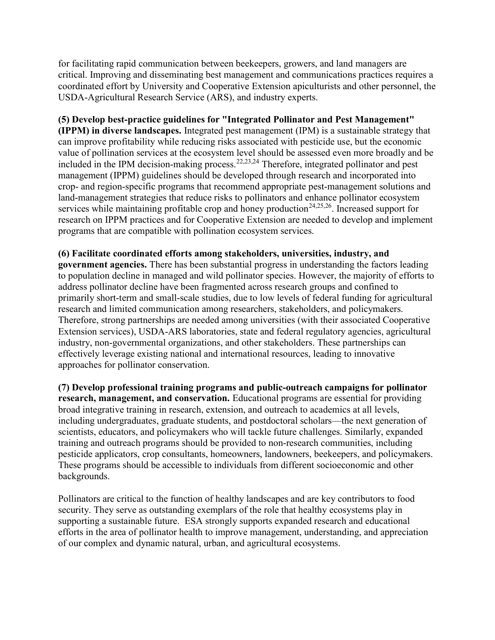for facilitating rapid communication between beekeepers, growers, and land managers are critical. Improving and disseminating best management and communications practices requires a coordinated effort by University and Cooperative Extension apiculturists and other personnel, the USDA-Agricultural Research Service (ARS), and industry experts.

## (5) Develop best-practice guidelines for "Integrated Pollinator and Pest Management"

(IPPM) in diverse landscapes. Integrated pest management (IPM) is a sustainable strategy that can improve profitability while reducing risks associated with pesticide use, but the economic value of pollination services at the ecosystem level should be assessed even more broadly and be included in the IPM decision-making process.22,23,24 Therefore, integrated pollinator and pest management (IPPM) guidelines should be developed through research and incorporated into crop- and region-specific programs that recommend appropriate pest-management solutions and land-management strategies that reduce risks to pollinators and enhance pollinator ecosystem services while maintaining profitable crop and honey production<sup>24,25,26</sup>. Increased support for research on IPPM practices and for Cooperative Extension are needed to develop and implement programs that are compatible with pollination ecosystem services.

(6) Facilitate coordinated efforts among stakeholders, universities, industry, and government agencies. There has been substantial progress in understanding the factors leading to population decline in managed and wild pollinator species. However, the majority of efforts to address pollinator decline have been fragmented across research groups and confined to primarily short-term and small-scale studies, due to low levels of federal funding for agricultural research and limited communication among researchers, stakeholders, and policymakers. Therefore, strong partnerships are needed among universities (with their associated Cooperative Extension services), USDA-ARS laboratories, state and federal regulatory agencies, agricultural industry, non-governmental organizations, and other stakeholders. These partnerships can effectively leverage existing national and international resources, leading to innovative approaches for pollinator conservation.

(7) Develop professional training programs and public-outreach campaigns for pollinator research, management, and conservation. Educational programs are essential for providing broad integrative training in research, extension, and outreach to academics at all levels, including undergraduates, graduate students, and postdoctoral scholars—the next generation of scientists, educators, and policymakers who will tackle future challenges. Similarly, expanded training and outreach programs should be provided to non-research communities, including pesticide applicators, crop consultants, homeowners, landowners, beekeepers, and policymakers. These programs should be accessible to individuals from different socioeconomic and other backgrounds.

Pollinators are critical to the function of healthy landscapes and are key contributors to food security. They serve as outstanding exemplars of the role that healthy ecosystems play in supporting a sustainable future. ESA strongly supports expanded research and educational efforts in the area of pollinator health to improve management, understanding, and appreciation of our complex and dynamic natural, urban, and agricultural ecosystems.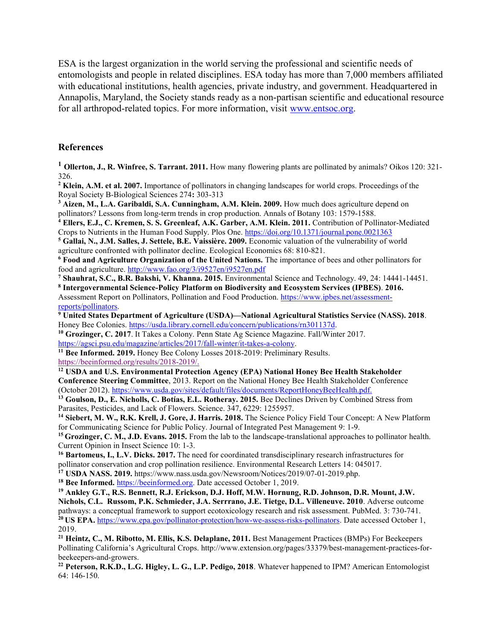ESA is the largest organization in the world serving the professional and scientific needs of entomologists and people in related disciplines. ESA today has more than 7,000 members affiliated with educational institutions, health agencies, private industry, and government. Headquartered in Annapolis, Maryland, the Society stands ready as a non-partisan scientific and educational resource for all arthropod-related topics. For more information, visit www.entsoc.org.

## References

<sup>1</sup> Ollerton, J., R. Winfree, S. Tarrant. 2011. How many flowering plants are pollinated by animals? Oikos 120: 321-326.

<sup>2</sup> Klein, A.M. et al. 2007. Importance of pollinators in changing landscapes for world crops. Proceedings of the Royal Society B-Biological Sciences 274: 303-313

<sup>3</sup> Aizen, M., L.A. Garibaldi, S.A. Cunningham, A.M. Klein. 2009. How much does agriculture depend on pollinators? Lessons from long-term trends in crop production. Annals of Botany 103: 1579-1588.

<sup>4</sup> Ellers, E.J., C. Kremen, S. S. Greenleaf, A.K. Garber, A.M. Klein. 2011. Contribution of Pollinator-Mediated Crops to Nutrients in the Human Food Supply. Plos One. https://doi.org/10.1371/journal.pone.0021363

<sup>5</sup> Gallai, N., J.M. Salles, J. Settele, B.E. Vaissière. 2009. Economic valuation of the vulnerability of world agriculture confronted with pollinator decline. Ecological Economics 68: 810-821.

<sup>6</sup> Food and Agriculture Organization of the United Nations. The importance of bees and other pollinators for food and agriculture. http://www.fao.org/3/i9527en/i9527en.pdf

<sup>7</sup> Shauhrat, S.C., B.R. Bakshi, V. Khanna. 2015. Environmental Science and Technology. 49, 24: 14441-14451.

<sup>8</sup> Intergovernmental Science-Policy Platform on Biodiversity and Ecosystem Services (IPBES). 2016. Assessment Report on Pollinators, Pollination and Food Production. https://www.ipbes.net/assessmentreports/pollinators.

<sup>9</sup> United States Department of Agriculture (USDA)—National Agricultural Statistics Service (NASS). 2018. Honey Bee Colonies. https://usda.library.cornell.edu/concern/publications/rn301137d.

<sup>10</sup> Grozinger, C. 2017. It Takes a Colony. Penn State Ag Science Magazine. Fall/Winter 2017. https://agsci.psu.edu/magazine/articles/2017/fall-winter/it-takes-a-colony.

<sup>11</sup> Bee Informed. 2019. Honey Bee Colony Losses 2018-2019: Preliminary Results. https://beeinformed.org/results/2018-2019/.

<sup>12</sup> USDA and U.S. Environmental Protection Agency (EPA) National Honey Bee Health Stakeholder Conference Steering Committee, 2013. Report on the National Honey Bee Health Stakeholder Conference (October 2012). https://www.usda.gov/sites/default/files/documents/ReportHoneyBeeHealth.pdf.

<sup>13</sup> Goulson, D., E. Nicholls, C. Botías, E.L. Rotheray. 2015. Bee Declines Driven by Combined Stress from Parasites, Pesticides, and Lack of Flowers. Science. 347, 6229: 1255957.

<sup>14</sup> Siebert, M. W., R.K. Krell, J. Gore, J. Harris. 2018. The Science Policy Field Tour Concept: A New Platform for Communicating Science for Public Policy. Journal of Integrated Pest Management 9: 1-9.

<sup>15</sup> Grozinger, C. M., J.D. Evans. 2015. From the lab to the landscape-translational approaches to pollinator health. Current Opinion in Insect Science 10: 1-3.

<sup>16</sup> Bartomeus, I., L.V. Dicks. 2017. The need for coordinated transdisciplinary research infrastructures for pollinator conservation and crop pollination resilience. Environmental Research Letters 14: 045017.

<sup>17</sup> USDA NASS. 2019. https://www.nass.usda.gov/Newsroom/Notices/2019/07-01-2019.php.

<sup>18</sup> Bee Informed. https://beeinformed.org. Date accessed October 1, 2019.

<sup>19</sup> Ankley G.T., R.S. Bennett, R.J. Erickson, D.J. Hoff, M.W. Hornung, R.D. Johnson, D.R. Mount, J.W. Nichols, C.L. Russom, P.K. Schmieder, J.A. Serrrano, J.E. Tietge, D.L. Villeneuve. 2010. Adverse outcome pathways: a conceptual framework to support ecotoxicology research and risk assessment. PubMed. 3: 730-741. <sup>20</sup> US EPA. https://www.epa.gov/pollinator-protection/how-we-assess-risks-pollinators. Date accessed October 1, 2019.

<sup>21</sup> Heintz, C., M. Ribotto, M. Ellis, K.S. Delaplane, 2011. Best Management Practices (BMPs) For Beekeepers Pollinating California's Agricultural Crops. http://www.extension.org/pages/33379/best-management-practices-forbeekeepers-and-growers.

<sup>22</sup> Peterson, R.K.D., L.G. Higley, L. G., L.P. Pedigo, 2018. Whatever happened to IPM? American Entomologist 64: 146-150.